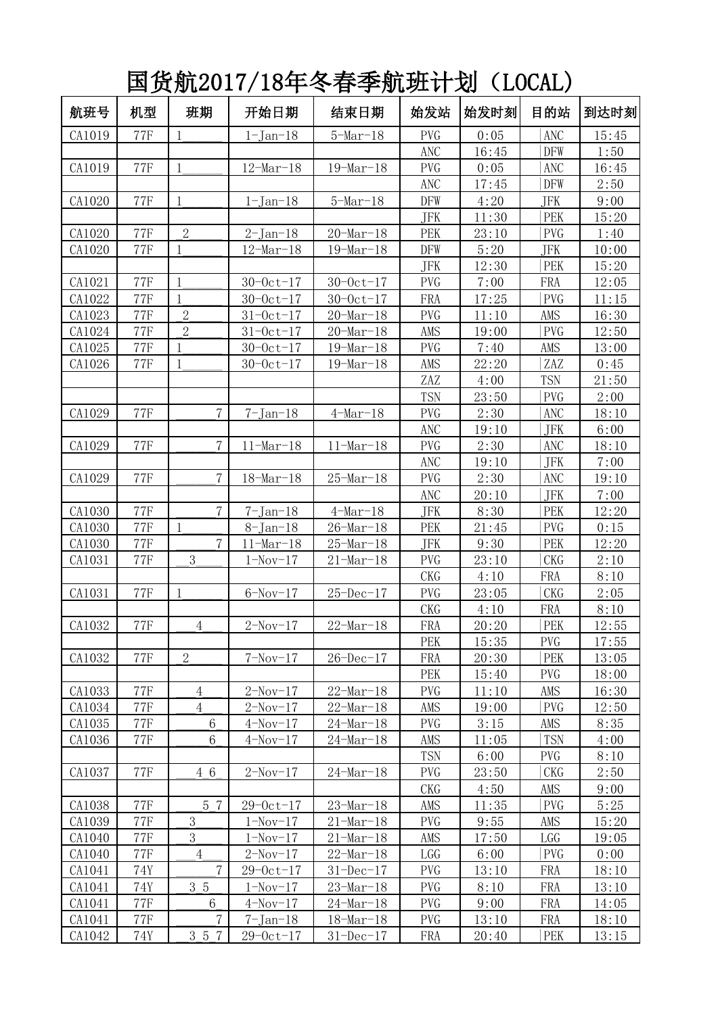国货航2017/18年冬春季航班计划(LOCAL)

| 航班号    | 机型             | 班期                | 开始日期                   | 结束日期                   | 始发站        | 始发时刻           | 目的站               | 到达时刻           |
|--------|----------------|-------------------|------------------------|------------------------|------------|----------------|-------------------|----------------|
| CA1019 | <b>77F</b>     | 1                 | $1-Jan-18$             | $5-Mar-18$             | <b>PVG</b> | 0:05           | <b>ANC</b>        | 15:45          |
|        |                |                   |                        |                        | <b>ANC</b> | 16:45          | <b>DFW</b>        | 1:50           |
| CA1019 | <b>77F</b>     | $\mathbf{1}$      | $12 - \text{Mar} - 18$ | $19 - \text{Mar} - 18$ | <b>PVG</b> | 0:05           | <b>ANC</b>        | 16:45          |
|        |                |                   |                        |                        | ANC        | 17:45          | <b>DFW</b>        | 2:50           |
| CA1020 | <b>77F</b>     | $\mathbf{1}$      | $1-Jan-18$             | $5$ -Mar $-18$         | <b>DFW</b> | 4:20           | JFK               | 9:00           |
|        |                |                   |                        |                        | <b>JFK</b> | 11:30          | PEK               | 15:20          |
| CA1020 | <b>77F</b>     | $\overline{2}$    | $2-Jan-18$             | $20 - \text{Mar} - 18$ | PEK        | 23:10          | <b>PVG</b>        | 1:40           |
| CA1020 | <b>77F</b>     | $\mathbf{1}$      | $12 - \text{Mar} - 18$ | $19 - \text{Mar} - 18$ | <b>DFW</b> | 5:20           | JFK               | 10:00          |
|        |                |                   |                        |                        | <b>JFK</b> | 12:30          | PEK               | 15:20          |
| CA1021 | <b>77F</b>     | $\mathbf{1}$      | $30 - 0ct - 17$        | $30 - 0ct - 17$        | <b>PVG</b> | 7:00           | FRA               | 12:05          |
| CA1022 | <b>77F</b>     | 1                 | $30 - 0ct - 17$        | $30 - 0ct - 17$        | FRA        | 17:25          | <b>PVG</b>        | 11:15          |
| CA1023 | <b>77F</b>     | $\overline{2}$    | $31 - 0ct - 17$        | $20$ -Mar-18           | <b>PVG</b> | 11:10          | AMS               | 16:30          |
| CA1024 | <b>77F</b>     | $\overline{2}$    | $31 - 0ct - 17$        | $20 - \text{Mar} - 18$ | AMS        | 19:00          | <b>PVG</b>        | 12:50          |
| CA1025 | <b>77F</b>     | 1                 | $30 - 0c t - 17$       | $19 - \text{Mar} - 18$ | <b>PVG</b> | 7:40           | AMS               | 13:00          |
| CA1026 | <b>77F</b>     | $\mathbf{1}$      | $30 - 0ct - 17$        | $19 - \text{Mar} - 18$ | AMS        | 22:20          | ZAZ               | 0:45           |
|        |                |                   |                        |                        | ZAZ        | 4:00           | <b>TSN</b>        | 21:50          |
|        |                |                   |                        |                        | <b>TSN</b> | 23:50          | <b>PVG</b>        | 2:00           |
| CA1029 | <b>77F</b>     | $\overline{7}$    | $7 - Jan - 18$         | $4$ -Mar-18            | <b>PVG</b> | 2:30           | <b>ANC</b>        | 18:10          |
|        |                |                   |                        |                        | ANC        | 19:10          | JFK               | 6:00           |
| CA1029 | <b>77F</b>     | $\overline{7}$    | $11-Mar-18$            | $11 - \text{Mar} - 18$ | <b>PVG</b> | 2:30           | <b>ANC</b>        | 18:10          |
|        |                |                   |                        |                        | <b>ANC</b> | 19:10          | <b>JFK</b>        | 7:00           |
| CA1029 | <b>77F</b>     | $\overline{7}$    | $18$ -Mar-18           | $25$ -Mar-18           | <b>PVG</b> | 2:30           | <b>ANC</b>        | 19:10          |
|        |                |                   |                        |                        | <b>ANC</b> | 20:10          | JFK               | 7:00           |
| CA1030 | <b>77F</b>     | $\overline{7}$    | $7$ -Jan $-18$         | $4$ -Mar-18            | JFK        | 8:30           | PEK               | 12:20          |
| CA1030 | <b>77F</b>     | 1                 | $8$ -Jan-18            | $26 - Mar - 18$        | PEK        | 21:45          | <b>PVG</b>        | 0:15           |
| CA1030 | <b>77F</b>     | $\overline{7}$    | $11 - \text{Mar} - 18$ | $25-Mar-18$            | JFK        | 9:30           | PEK               | 12:20          |
| CA1031 | <b>77F</b>     | 3                 | $1-Nov-17$             | $21$ -Mar-18           | <b>PVG</b> | 23:10          | <b>CKG</b>        | 2:10           |
|        |                |                   |                        |                        | <b>CKG</b> | 4:10           | FRA               | 8:10           |
| CA1031 | <b>77F</b>     | 1                 | $6-Nov-17$             | $25 - Dec - 17$        | <b>PVG</b> | 23:05          | <b>CKG</b>        | 2:05           |
|        |                |                   |                        |                        | <b>CKG</b> | 4:10           | FRA               | 8:10           |
| CA1032 | <b>77F</b>     | $\overline{4}$    | $2-Nov-17$             | $22$ -Mar-18           | FRA<br>PEK | 20:20          | PEK               | 12:55<br>17:55 |
| CA1032 | $77\mathrm{F}$ | $\overline{2}$    | $7-Nov-17$             | $26 - Dec - 17$        | FRA        | 15:35<br>20:30 | <b>PVG</b><br>PEK | 13:05          |
|        |                |                   |                        |                        | <b>PEK</b> | 15:40          | PVG               | 18:00          |
| CA1033 | <b>77F</b>     | $\overline{4}$    | $2-Nov-17$             | $22 - \text{Mar} - 18$ | <b>PVG</b> | 11:10          | AMS               | 16:30          |
| CA1034 | <b>77F</b>     | $\overline{4}$    | $2-Nov-17$             | $22 - \text{Mar} - 18$ | AMS        | 19:00          | <b>PVG</b>        | 12:50          |
| CA1035 | <b>77F</b>     | $6\phantom{.}6$   | $4-Nov-17$             | $24$ -Mar-18           | <b>PVG</b> | 3:15           | AMS               | 8:35           |
| CA1036 | <b>77F</b>     | 6                 | $4-Nov-17$             | $24$ -Mar-18           | AMS        | 11:05          | <b>TSN</b>        | 4:00           |
|        |                |                   |                        |                        | <b>TSN</b> | 6:00           | PVG               | 8:10           |
| CA1037 | <b>77F</b>     | 4 6               | $2-Nov-17$             | $24$ -Mar-18           | <b>PVG</b> | 23:50          | <b>CKG</b>        | 2:50           |
|        |                |                   |                        |                        | <b>CKG</b> | 4:50           | AMS               | 9:00           |
| CA1038 | <b>77F</b>     | 5 7               | $29 - 0ct - 17$        | $23$ -Mar-18           | AMS        | 11:35          | <b>PVG</b>        | 5:25           |
| CA1039 | <b>77F</b>     | 3                 | $1-Nov-17$             | $21$ -Mar-18           | <b>PVG</b> | 9:55           | AMS               | 15:20          |
| CA1040 | <b>77F</b>     | 3                 | $1-Nov-17$             | $21$ -Mar-18           | AMS        | 17:50          | LGG               | 19:05          |
| CA1040 | <b>77F</b>     | $\overline{4}$    | $2-Nov-17$             | $22 - \text{Mar} - 18$ | LGG        | 6:00           | <b>PVG</b>        | 0:00           |
| CA1041 | 74Y            | $\overline{7}$    | $29 - 0ct - 17$        | $31 - Dec-17$          | <b>PVG</b> | 13:10          | FRA               | 18:10          |
| CA1041 | 74Y            | 3 5               | $1-Nov-17$             | $23$ -Mar-18           | <b>PVG</b> | 8:10           | FRA               | 13:10          |
| CA1041 | <b>77F</b>     | $6\phantom{.}6$   | $4-Nov-17$             | $24$ -Mar-18           | <b>PVG</b> | 9:00           | FRA               | 14:05          |
| CA1041 | <b>77F</b>     | 7                 | $7$ -Jan $-18$         | $18$ -Mar-18           | <b>PVG</b> | 13:10          | FRA               | 18:10          |
| CA1042 | 74Y            | $3\overline{5}$ 7 | $29 - 0ct - 17$        | $31 - Dec-17$          | FRA        | 20:40          | PEK               | 13:15          |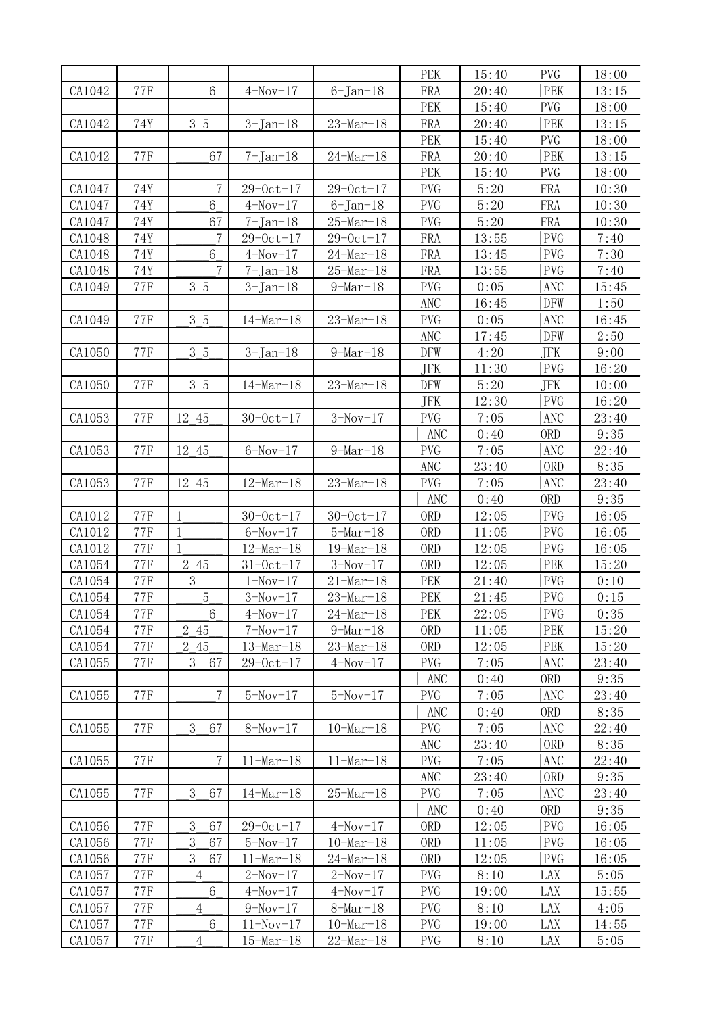|                  |                          |                              |                            |                                          | PEK                      | 15:40          | <b>PVG</b>               | 18:00          |
|------------------|--------------------------|------------------------------|----------------------------|------------------------------------------|--------------------------|----------------|--------------------------|----------------|
| CA1042           | <b>77F</b>               | 6                            | $4-Nov-17$                 | $6$ -Jan-18                              | FRA                      | 20:40          | PEK                      | 13:15          |
|                  |                          |                              |                            |                                          | PEK                      | 15:40          | <b>PVG</b>               | 18:00          |
| CA1042           | 74Y                      | 3 5                          | $3-Jan-18$                 | $23$ -Mar-18                             | FRA                      | 20:40          | PEK                      | 13:15          |
|                  |                          |                              |                            |                                          | PEK                      | 15:40          | <b>PVG</b>               | 18:00          |
| CA1042           | <b>77F</b>               | 67                           | $7 - Jan - 18$             | $24 - \text{Mar} - 18$                   | FRA                      | 20:40          | PEK                      | 13:15          |
|                  |                          |                              |                            |                                          | PEK                      | 15:40          | <b>PVG</b>               | 18:00          |
| CA1047           | 74Y                      | $\overline{7}$               | $29 - 0ct - 17$            | $29 - 0ct - 17$                          | <b>PVG</b>               | 5:20           | FRA                      | 10:30          |
| CA1047           | 74Y                      | $6\phantom{1}6$              | $4-Nov-17$                 | $6$ -Jan-18                              | <b>PVG</b>               | 5:20           | FRA                      | 10:30          |
| CA1047           | 74Y                      | 67                           | $7 - Jan - 18$             | $25$ -Mar-18                             | <b>PVG</b>               | 5:20           | FRA                      | 10:30          |
| CA1048           | 74Y                      | $\overline{7}$               | $29 - 0ct - 17$            | $29 - 0ct - 17$                          | FRA                      | 13:55          | <b>PVG</b>               | 7:40           |
| CA1048           | 74Y                      | 6                            | $4-Nov-17$                 | $24$ -Mar-18                             | FRA                      | 13:45          | <b>PVG</b>               | 7:30           |
| CA1048           | 74Y                      | $\overline{7}$               | $7 - Jan - 18$             | $25 - \text{Mar} - 18$                   | FRA                      | 13:55          | <b>PVG</b>               | 7:40           |
| CA1049           | $77\mathrm{F}$           | 3 5                          | $3 - Jan-18$               | $9$ -Mar-18                              | <b>PVG</b>               | 0:05           | <b>ANC</b>               | 15:45          |
|                  |                          |                              |                            |                                          | ANC                      | 16:45          | <b>DFW</b>               | 1:50           |
| CA1049           | <b>77F</b>               | 3 5                          | $14$ -Mar-18               | $23$ -Mar-18                             | <b>PVG</b>               | 0:05           | <b>ANC</b>               | 16:45          |
|                  |                          |                              |                            |                                          | <b>ANC</b>               | 17:45          | <b>DFW</b>               | 2:50           |
| CA1050           | <b>77F</b>               | 3 5                          | $3-Jan-18$                 | $9$ -Mar-18                              | DFW                      | 4:20           | JFK                      | 9:00           |
|                  |                          |                              |                            |                                          | <b>JFK</b>               | 11:30          | <b>PVG</b>               | 16:20          |
| CA1050           | <b>77F</b>               | 3 5                          | $14$ -Mar-18               | $23$ -Mar-18                             | <b>DFW</b>               | 5:20           | JFK                      | 10:00          |
|                  |                          |                              |                            |                                          | <b>JFK</b>               | 12:30          | <b>PVG</b>               | 16:20          |
| CA1053           | <b>77F</b>               | 12 45                        | $30 - 0c t - 17$           | $3-Nov-17$                               | <b>PVG</b>               | 7:05           | <b>ANC</b>               | 23:40          |
|                  |                          |                              |                            |                                          | <b>ANC</b>               | 0:40           | <b>ORD</b>               | 9:35           |
| CA1053           | <b>77F</b>               | 12 45                        | $6-Nov-17$                 | $9-Mar-18$                               | <b>PVG</b>               | 7:05           | <b>ANC</b>               | 22:40          |
|                  |                          |                              |                            |                                          | <b>ANC</b>               | 23:40          | <b>ORD</b>               | 8:35           |
| CA1053           | <b>77F</b>               | 12 45                        | $12$ -Mar-18               | $23$ -Mar-18                             | <b>PVG</b>               | 7:05           | ANC                      | 23:40          |
|                  |                          |                              |                            |                                          | <b>ANC</b>               | 0:40           | <b>ORD</b>               | 9:35           |
| CA1012           | <b>77F</b><br><b>77F</b> | $\mathbf{1}$<br>$\mathbf{1}$ | $30 - 0c t - 17$           | $30 - 0ct - 17$                          | <b>ORD</b><br><b>ORD</b> | 12:05          | <b>PVG</b><br><b>PVG</b> | 16:05          |
| CA1012<br>CA1012 | <b>77F</b>               | $\mathbf{1}$                 | $6-Nov-17$<br>$12$ -Mar-18 | $5$ -Mar $-18$<br>$19 - \text{Mar} - 18$ | <b>ORD</b>               | 11:05<br>12:05 | <b>PVG</b>               | 16:05<br>16:05 |
| CA1054           | <b>77F</b>               | 2 45                         | $31 - 0ct - 17$            | $3-Nov-17$                               | <b>ORD</b>               | 12:05          | PEK                      | 15:20          |
| CA1054           | <b>77F</b>               | 3                            | $1-Nov-17$                 | $21 - \text{Mar} - 18$                   | PEK                      | 21:40          | <b>PVG</b>               | 0:10           |
| CA1054           | <b>77F</b>               | $\overline{5}$               | $3-Nov-17$                 | $23$ -Mar-18                             | PEK                      | 21:45          | <b>PVG</b>               | 0:15           |
| CA1054           | <b>77F</b>               | 6                            | $4-Nov-17$                 | $24$ -Mar-18                             | PEK                      | 22:05          | <b>PVG</b>               | 0:35           |
| CA1054           | <b>77F</b>               | 2 45                         | $7-Nov-17$                 | $9$ -Mar-18                              | <b>ORD</b>               | 11:05          | <b>PEK</b>               | 15:20          |
| CA1054           | <b>77F</b>               | 2 45                         | $13 - Mar - 18$            | $23$ -Mar-18                             | <b>ORD</b>               | 12:05          | PEK                      | 15:20          |
| CA1055           | <b>77F</b>               | 3<br>67                      | $29 - 0ct - 17$            | $4-Nov-17$                               | PVG                      | 7:05           | ANC                      | 23:40          |
|                  |                          |                              |                            |                                          | ANC                      | 0:40           | 0RD                      | 9:35           |
| CA1055           | <b>77F</b>               | $\overline{7}$               | $5-Nov-17$                 | $5-Nov-17$                               | PVG                      | 7:05           | <b>ANC</b>               | 23:40          |
|                  |                          |                              |                            |                                          | ANC                      | 0:40           | <b>ORD</b>               | 8:35           |
| CA1055           | <b>77F</b>               | 3<br>67                      | $8-Nov-17$                 | $10 - \text{Mar} - 18$                   | PVG                      | 7:05           | ANC                      | 22:40          |
|                  |                          |                              |                            |                                          | <b>ANC</b>               | 23:40          | <b>ORD</b>               | 8:35           |
| CA1055           | <b>77F</b>               | $\overline{7}$               | $11-Mar-18$                | $11-Mar-18$                              | <b>PVG</b>               | 7:05           | ANC                      | 22:40          |
|                  |                          |                              |                            |                                          | ANC                      | 23:40          | <b>ORD</b>               | 9:35           |
| CA1055           | $77\mathrm{F}$           | 3<br>67                      | $14$ -Mar-18               | $25 - \text{Mar} - 18$                   | PVG                      | 7:05           | <b>ANC</b>               | 23:40          |
|                  |                          |                              |                            |                                          | ANC                      | 0:40           | <b>ORD</b>               | 9:35           |
| CA1056           | <b>77F</b>               | 3<br>67                      | $29 - 0ct - 17$            | $4-Nov-17$                               | <b>ORD</b>               | 12:05          | PVG                      | 16:05          |
| CA1056           | <b>77F</b>               | 3<br>67                      | $5-Nov-17$                 | $10 - \text{Mar} - 18$                   | <b>ORD</b>               | 11:05          | <b>PVG</b>               | 16:05          |
| CA1056           | <b>77F</b>               | 3<br>67                      | $11-Mar-18$                | $24$ -Mar-18                             | <b>ORD</b>               | 12:05          | <b>PVG</b>               | 16:05          |
| CA1057           | <b>77F</b>               | $\overline{4}$               | $2-Nov-17$                 | $2-Nov-17$                               | PVG                      | 8:10           | LAX                      | 5:05           |
| CA1057           | <b>77F</b>               | $6\,$                        | $4-Nov-17$                 | $4-Nov-17$                               | <b>PVG</b>               | 19:00          | LAX                      | 15:55          |
| CA1057           | <b>77F</b>               | $\overline{4}$               | $9-Nov-17$                 | $8$ -Mar-18                              | <b>PVG</b>               | 8:10           | LAX                      | 4:05           |
| CA1057           | <b>77F</b>               | $6\phantom{.}6$              | $11 - Nov - 17$            | $10$ -Mar-18                             | <b>PVG</b>               | 19:00          | LAX                      | 14:55          |
| CA1057           | <b>77F</b>               | $\overline{4}$               | $15 - \text{Mar} - 18$     | $22 - \text{Mar} - 18$                   | <b>PVG</b>               | 8:10           | LAX                      | 5:05           |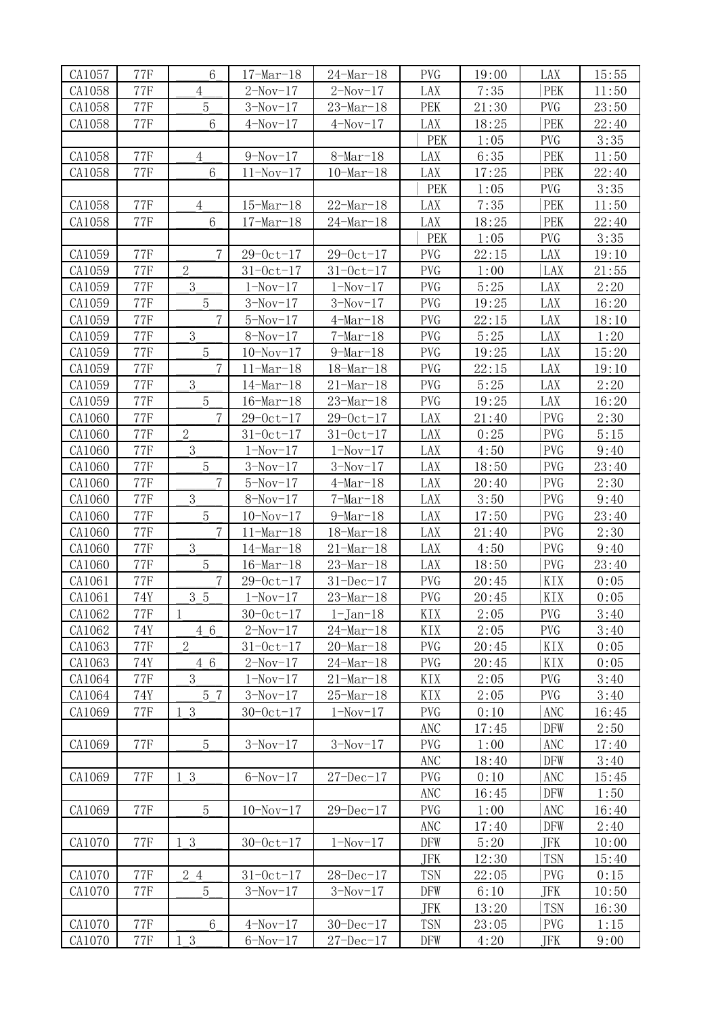| CA1057 | <b>77F</b>     | $6\phantom{.}6$ | $17 - \text{Mar} - 18$ | $24$ -Mar-18           | <b>PVG</b>     | 19:00 | LAX        | 15:55 |
|--------|----------------|-----------------|------------------------|------------------------|----------------|-------|------------|-------|
| CA1058 | <b>77F</b>     | $\overline{4}$  | $2-Nov-17$             | $2-Nov-17$             | LAX            | 7:35  | PEK        | 11:50 |
| CA1058 | <b>77F</b>     | $\overline{5}$  | $3-Nov-17$             | $23$ -Mar-18           | PEK            | 21:30 | <b>PVG</b> | 23:50 |
| CA1058 | <b>77F</b>     | $6\,$           | $4-Nov-17$             | $4-Nov-17$             | LAX            | 18:25 | PEK        | 22:40 |
|        |                |                 |                        |                        | PEK            | 1:05  | <b>PVG</b> | 3:35  |
| CA1058 | <b>77F</b>     | $\overline{4}$  | $9-Nov-17$             | $8-Mar-18$             | LAX            | 6:35  | PEK        | 11:50 |
| CA1058 | <b>77F</b>     | $6\phantom{1}6$ | $11 - Nov - 17$        | $10$ -Mar-18           | LAX            | 17:25 | PEK        | 22:40 |
|        |                |                 |                        |                        | PEK            | 1:05  | <b>PVG</b> | 3:35  |
| CA1058 | <b>77F</b>     | $\overline{4}$  | $15$ -Mar-18           | $22 - \text{Mar} - 18$ | LAX            | 7:35  | PEK        | 11:50 |
| CA1058 | <b>77F</b>     | $6\phantom{.}6$ | $17 - Mar - 18$        | $24 - \text{Mar} - 18$ | LAX            | 18:25 | PEK        | 22:40 |
|        |                |                 |                        |                        | PEK            | 1:05  | <b>PVG</b> | 3:35  |
| CA1059 | <b>77F</b>     | $\overline{7}$  | $29 - 0ct - 17$        | $29 - 0ct - 17$        | <b>PVG</b>     | 22:15 | LAX        | 19:10 |
| CA1059 | <b>77F</b>     | $\overline{2}$  | $31 - 0ct - 17$        | $31 - 0ct - 17$        | <b>PVG</b>     | 1:00  | LAX        | 21:55 |
|        |                | 3               |                        |                        | <b>PVG</b>     |       |            |       |
| CA1059 | <b>77F</b>     |                 | $1-Nov-17$             | $1-Nov-17$             | <b>PVG</b>     | 5:25  | LAX        | 2:20  |
| CA1059 | <b>77F</b>     | $\overline{5}$  | $3-Nov-17$             | $3-Nov-17$             |                | 19:25 | LAX        | 16:20 |
| CA1059 | <b>77F</b>     | 7<br>3          | $5-Nov-17$             | $4$ -Mar-18            | <b>PVG</b>     | 22:15 | LAX        | 18:10 |
| CA1059 | <b>77F</b>     |                 | $8-Nov-17$             | $7$ -Mar $-18$         | <b>PVG</b>     | 5:25  | LAX        | 1:20  |
| CA1059 | <b>77F</b>     | $\overline{5}$  | $10-Nov-17$            | $9$ -Mar-18            | <b>PVG</b>     | 19:25 | LAX        | 15:20 |
| CA1059 | <b>77F</b>     | $\overline{7}$  | $11 - \text{Mar} - 18$ | $18$ -Mar-18           | <b>PVG</b>     | 22:15 | LAX        | 19:10 |
| CA1059 | <b>77F</b>     | 3               | $14$ -Mar-18           | $21 - \text{Mar} - 18$ | <b>PVG</b>     | 5:25  | LAX        | 2:20  |
| CA1059 | <b>77F</b>     | $\overline{5}$  | $16 - \text{Mar} - 18$ | $23$ -Mar-18           | <b>PVG</b>     | 19:25 | LAX        | 16:20 |
| CA1060 | <b>77F</b>     | $\overline{7}$  | $29 - 0ct - 17$        | $29 - 0ct - 17$        | LAX            | 21:40 | <b>PVG</b> | 2:30  |
| CA1060 | <b>77F</b>     | $\overline{2}$  | $31 - 0ct - 17$        | $31 - 0ct - 17$        | LAX            | 0:25  | <b>PVG</b> | 5:15  |
| CA1060 | <b>77F</b>     | 3               | $1-Nov-17$             | $1-Nov-17$             | LAX            | 4:50  | <b>PVG</b> | 9:40  |
| CA1060 | <b>77F</b>     | $\overline{5}$  | $3-Nov-17$             | $3-Nov-17$             | LAX            | 18:50 | <b>PVG</b> | 23:40 |
| CA1060 | <b>77F</b>     | $\overline{7}$  | $5-Nov-17$             | $4$ -Mar-18            | LAX            | 20:40 | <b>PVG</b> | 2:30  |
| CA1060 | <b>77F</b>     | 3               | $8-Nov-17$             | $7$ -Mar $-18$         | LAX            | 3:50  | <b>PVG</b> | 9:40  |
| CA1060 | <b>77F</b>     | $\overline{5}$  | $10-Nov-17$            | $9$ -Mar-18            | LAX            | 17:50 | <b>PVG</b> | 23:40 |
| CA1060 | <b>77F</b>     | $\overline{7}$  | $11 - \text{Mar} - 18$ | $18$ -Mar-18           | LAX            | 21:40 | <b>PVG</b> | 2:30  |
| CA1060 | <b>77F</b>     | 3               | $14$ -Mar-18           | $21$ -Mar-18           | LAX            | 4:50  | <b>PVG</b> | 9:40  |
| CA1060 | <b>77F</b>     | $\overline{5}$  | $16 - \text{Mar} - 18$ | $23$ -Mar-18           | LAX            | 18:50 | <b>PVG</b> | 23:40 |
| CA1061 | <b>77F</b>     | $\overline{7}$  | $29 - 0c t - 17$       | $31 - Dec-17$          | $\mathsf{PVG}$ | 20:45 | KIX        | 0:05  |
| CA1061 | 74Y            | 3 5             | $1-Nov-17$             | $23$ -Mar-18           | <b>PVG</b>     | 20:45 | KIX        | 0:05  |
| CA1062 | <b>77F</b>     | $\mathbf{1}$    | $30 - 0ct - 17$        | $1 - Jan-18$           | KIX            | 2:05  | <b>PVG</b> | 3:40  |
| CA1062 | 74Y            | 4 6             | $2-Nov-17$             | $24$ -Mar-18           | KIX            | 2:05  | <b>PVG</b> | 3:40  |
| CA1063 | <b>77F</b>     | $\overline{2}$  | $31 - 0ct - 17$        | $20$ -Mar-18           | <b>PVG</b>     | 20:45 | KIX        | 0:05  |
| CA1063 | 74Y            | 4 6             | $2-Nov-17$             | $24$ -Mar-18           | <b>PVG</b>     | 20:45 | KIX        | 0:05  |
| CA1064 | <b>77F</b>     | 3               | $1 - Nov - 17$         | $21$ -Mar-18           | KIX            | 2:05  | <b>PVG</b> | 3:40  |
| CA1064 | 74Y            | 5 7             | $3-Nov-17$             | $25-Mar-18$            | KIX            | 2:05  | <b>PVG</b> | 3:40  |
| CA1069 | <b>77F</b>     | 1 3             | $30 - 0c t - 17$       | $1-Nov-17$             | PVG            | 0:10  | ANC        | 16:45 |
|        |                |                 |                        |                        | ANC            | 17:45 | DFW        | 2:50  |
| CA1069 | <b>77F</b>     | $\overline{5}$  | $3-Nov-17$             | $3-Nov-17$             | <b>PVG</b>     | 1:00  | ANC        | 17:40 |
|        |                |                 |                        |                        | ANC            | 18:40 | DFW        | 3:40  |
| CA1069 | <b>77F</b>     | 1 3             | $6-Nov-17$             | $27 - Dec - 17$        | <b>PVG</b>     | 0:10  | ANC        | 15:45 |
|        |                |                 |                        |                        | ANC            | 16:45 | DFW        | 1:50  |
| CA1069 | <b>77F</b>     | $\overline{5}$  | $10-Nov-17$            | $29 - Dec-17$          | <b>PVG</b>     | 1:00  | <b>ANC</b> | 16:40 |
|        |                |                 |                        |                        | ANC            | 17:40 | DFW        | 2:40  |
| CA1070 | <b>77F</b>     | 1 3             | $30 - 0c t - 17$       | $1-Nov-17$             | DFW            | 5:20  | JFK        | 10:00 |
|        |                |                 |                        |                        | <b>JFK</b>     | 12:30 | <b>TSN</b> | 15:40 |
| CA1070 | <b>77F</b>     | 2 4             | $31 - 0ct - 17$        | $28 - Dec - 17$        | <b>TSN</b>     | 22:05 | <b>PVG</b> | 0:15  |
| CA1070 | <b>77F</b>     | $\overline{5}$  | $3-Nov-17$             | $3-Nov-17$             | DFW            | 6:10  | JFK        | 10:50 |
|        |                |                 |                        |                        | JFK            | 13:20 | <b>TSN</b> | 16:30 |
| CA1070 | $77\mathrm{F}$ | $6\phantom{.}6$ | $4-Nov-17$             | $30 - Dec-17$          | <b>TSN</b>     | 23:05 | <b>PVG</b> | 1:15  |
| CA1070 | <b>77F</b>     | 1 3             | $6-Nov-17$             | $27 - Dec-17$          | DFW            | 4:20  | JFK        | 9:00  |